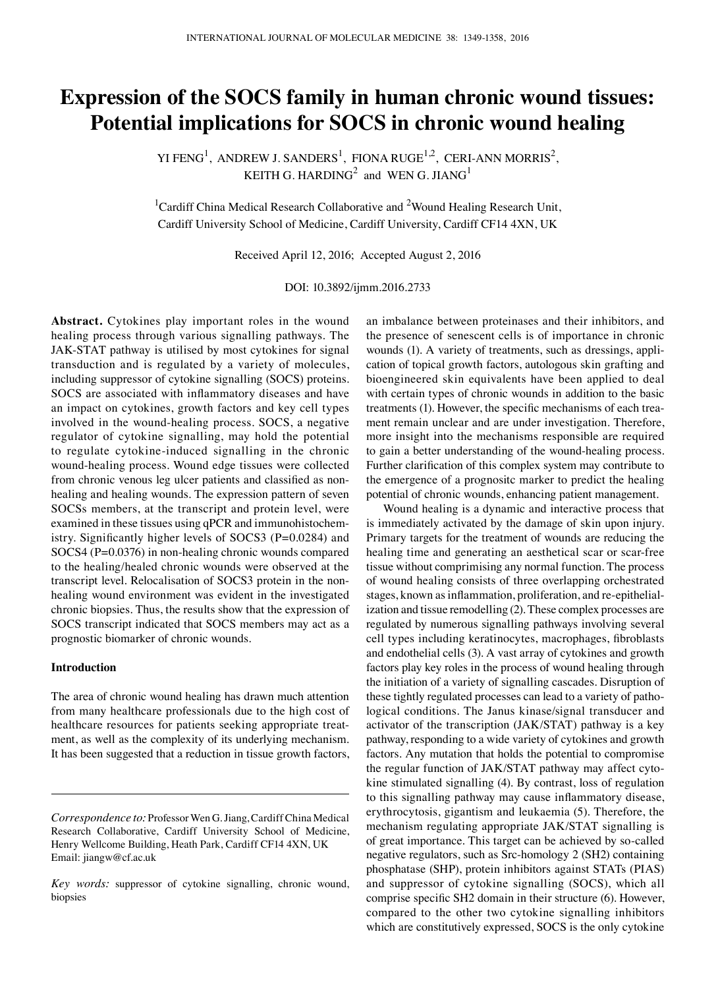# **Expression of the SOCS family in human chronic wound tissues: Potential implications for SOCS in chronic wound healing**

YI FENG<sup>1</sup>, ANDREW J. SANDERS<sup>1</sup>, FIONA RUGE<sup>1,2</sup>, CERI-ANN MORRIS<sup>2</sup>, KEITH G. HARDING<sup>2</sup> and WEN G. JIANG<sup>1</sup>

<sup>1</sup>Cardiff China Medical Research Collaborative and <sup>2</sup>Wound Healing Research Unit, Cardiff University School of Medicine, Cardiff University, Cardiff CF14 4XN, UK

Received April 12, 2016; Accepted August 2, 2016

DOI: 10.3892/ijmm.2016.2733

**Abstract.** Cytokines play important roles in the wound healing process through various signalling pathways. The JAK-STAT pathway is utilised by most cytokines for signal transduction and is regulated by a variety of molecules, including suppressor of cytokine signalling (SOCS) proteins. SOCS are associated with inflammatory diseases and have an impact on cytokines, growth factors and key cell types involved in the wound-healing process. SOCS, a negative regulator of cytokine signalling, may hold the potential to regulate cytokine-induced signalling in the chronic wound-healing process. Wound edge tissues were collected from chronic venous leg ulcer patients and classified as nonhealing and healing wounds. The expression pattern of seven SOCSs members, at the transcript and protein level, were examined in these tissues using qPCR and immunohistochemistry. Significantly higher levels of SOCS3 (P=0.0284) and SOCS4 (P=0.0376) in non-healing chronic wounds compared to the healing/healed chronic wounds were observed at the transcript level. Relocalisation of SOCS3 protein in the nonhealing wound environment was evident in the investigated chronic biopsies. Thus, the results show that the expression of SOCS transcript indicated that SOCS members may act as a prognostic biomarker of chronic wounds.

# **Introduction**

The area of chronic wound healing has drawn much attention from many healthcare professionals due to the high cost of healthcare resources for patients seeking appropriate treatment, as well as the complexity of its underlying mechanism. It has been suggested that a reduction in tissue growth factors, an imbalance between proteinases and their inhibitors, and the presence of senescent cells is of importance in chronic wounds (1). A variety of treatments, such as dressings, application of topical growth factors, autologous skin grafting and bioengineered skin equivalents have been applied to deal with certain types of chronic wounds in addition to the basic treatments (1). However, the specific mechanisms of each treament remain unclear and are under investigation. Therefore, more insight into the mechanisms responsible are required to gain a better understanding of the wound-healing process. Further clarification of this complex system may contribute to the emergence of a prognositc marker to predict the healing potential of chronic wounds, enhancing patient management.

Wound healing is a dynamic and interactive process that is immediately activated by the damage of skin upon injury. Primary targets for the treatment of wounds are reducing the healing time and generating an aesthetical scar or scar-free tissue without comprimising any normal function. The process of wound healing consists of three overlapping orchestrated stages, known as inflammation, proliferation, and re-epithelialization and tissue remodelling (2). These complex processes are regulated by numerous signalling pathways involving several cell types including keratinocytes, macrophages, fibroblasts and endothelial cells (3). A vast array of cytokines and growth factors play key roles in the process of wound healing through the initiation of a variety of signalling cascades. Disruption of these tightly regulated processes can lead to a variety of pathological conditions. The Janus kinase/signal transducer and activator of the transcription (JAK/STAT) pathway is a key pathway, responding to a wide variety of cytokines and growth factors. Any mutation that holds the potential to compromise the regular function of JAK/STAT pathway may affect cytokine stimulated signalling (4). By contrast, loss of regulation to this signalling pathway may cause inflammatory disease, erythrocytosis, gigantism and leukaemia (5). Therefore, the mechanism regulating appropriate JAK/STAT signalling is of great importance. This target can be achieved by so-called negative regulators, such as Src-homology 2 (SH2) containing phosphatase (SHP), protein inhibitors against STATs (PIAS) and suppressor of cytokine signalling (SOCS), which all comprise specific SH2 domain in their structure (6). However, compared to the other two cytokine signalling inhibitors which are constitutively expressed, SOCS is the only cytokine

*Correspondence to:* Professor Wen G. Jiang, Cardiff China Medical Research Collaborative, Cardiff University School of Medicine, Henry Wellcome Building, Heath Park, Cardiff CF14 4XN, UK Email: jiangw@cf.ac.uk

*Key words:* suppressor of cytokine signalling, chronic wound, biopsies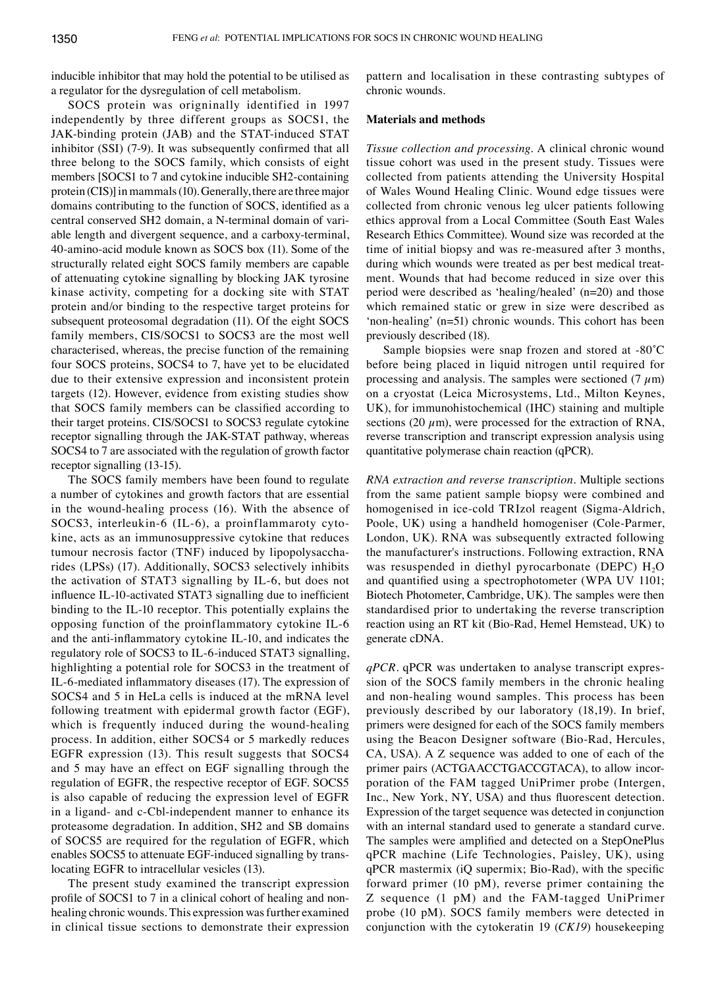inducible inhibitor that may hold the potential to be utilised as a regulator for the dysregulation of cell metabolism.

SOCS protein was origninally identified in 1997 independently by three different groups as SOCS1, the JAK-binding protein (JAB) and the STAT-induced STAT inhibitor (SSI) (7-9). It was subsequently confirmed that all three belong to the SOCS family, which consists of eight members [SOCS1 to 7 and cytokine inducible SH2-containing protein (CIS)] in mammals(10). Generally, there are three major domains contributing to the function of SOCS, identified as a central conserved SH2 domain, a N-terminal domain of variable length and divergent sequence, and a carboxy-terminal, 40-amino-acid module known as SOCS box (11). Some of the structurally related eight SOCS family members are capable of attenuating cytokine signalling by blocking JAK tyrosine kinase activity, competing for a docking site with STAT protein and/or binding to the respective target proteins for subsequent proteosomal degradation (11). Of the eight SOCS family members, CIS/SOCS1 to SOCS3 are the most well characterised, whereas, the precise function of the remaining four SOCS proteins, SOCS4 to 7, have yet to be elucidated due to their extensive expression and inconsistent protein targets (12). However, evidence from existing studies show that SOCS family members can be classified according to their target proteins. CIS/SOCS1 to SOCS3 regulate cytokine receptor signalling through the JAK-STAT pathway, whereas SOCS4 to 7 are associated with the regulation of growth factor receptor signalling (13-15).

The SOCS family members have been found to regulate a number of cytokines and growth factors that are essential in the wound-healing process (16). With the absence of SOCS3, interleukin-6 (IL-6), a proinflammaroty cytokine, acts as an immunosuppressive cytokine that reduces tumour necrosis factor (TNF) induced by lipopolysaccharides (LPSs) (17). Additionally, SOCS3 selectively inhibits the activation of STAT3 signalling by IL-6, but does not influence IL-10‑activated STAT3 signalling due to inefficient binding to the IL-10 receptor. This potentially explains the opposing function of the proinflammatory cytokine IL-6 and the anti-inflammatory cytokine IL-10, and indicates the regulatory role of SOCS3 to IL-6-induced STAT3 signalling, highlighting a potential role for SOCS3 in the treatment of IL-6‑mediated inflammatory diseases (17). The expression of SOCS4 and 5 in HeLa cells is induced at the mRNA level following treatment with epidermal growth factor (EGF), which is frequently induced during the wound-healing process. In addition, either SOCS4 or 5 markedly reduces EGFR expression (13). This result suggests that SOCS4 and 5 may have an effect on EGF signalling through the regulation of EGFR, the respective receptor of EGF. SOCS5 is also capable of reducing the expression level of EGFR in a ligand- and c-Cbl-independent manner to enhance its proteasome degradation. In addition, SH2 and SB domains of SOCS5 are required for the regulation of EGFR, which enables SOCS5 to attenuate EGF-induced signalling by translocating EGFR to intracellular vesicles (13).

The present study examined the transcript expression profile of SOCS1 to 7 in a clinical cohort of healing and nonhealing chronic wounds. This expression was further examined in clinical tissue sections to demonstrate their expression pattern and localisation in these contrasting subtypes of chronic wounds.

# **Materials and methods**

*Tissue collection and processing.* A clinical chronic wound tissue cohort was used in the present study. Tissues were collected from patients attending the University Hospital of Wales Wound Healing Clinic. Wound edge tissues were collected from chronic venous leg ulcer patients following ethics approval from a Local Committee (South East Wales Research Ethics Committee). Wound size was recorded at the time of initial biopsy and was re-measured after 3 months, during which wounds were treated as per best medical treatment. Wounds that had become reduced in size over this period were described as 'healing/healed' (n=20) and those which remained static or grew in size were described as 'non-healing' (n=51) chronic wounds. This cohort has been previously described (18).

Sample biopsies were snap frozen and stored at -80˚C before being placed in liquid nitrogen until required for processing and analysis. The samples were sectioned  $(7 \mu m)$ on a cryostat (Leica Microsystems, Ltd., Milton Keynes, UK), for immunohistochemical (IHC) staining and multiple sections (20  $\mu$ m), were processed for the extraction of RNA, reverse transcription and transcript expression analysis using quantitative polymerase chain reaction (qPCR).

*RNA extraction and reverse transcription.* Multiple sections from the same patient sample biopsy were combined and homogenised in ice-cold TRIzol reagent (Sigma-Aldrich, Poole, UK) using a handheld homogeniser (Cole-Parmer, London, UK). RNA was subsequently extracted following the manufacturer's instructions. Following extraction, RNA was resuspended in diethyl pyrocarbonate (DEPC)  $H<sub>2</sub>O$ and quantified using a spectrophotometer (WPA UV 1101; Biotech Photometer, Cambridge, UK). The samples were then standardised prior to undertaking the reverse transcription reaction using an RT kit (Bio-Rad, Hemel Hemstead, UK) to generate cDNA.

*qPCR.* qPCR was undertaken to analyse transcript expression of the SOCS family members in the chronic healing and non-healing wound samples. This process has been previously described by our laboratory (18,19). In brief, primers were designed for each of the SOCS family members using the Beacon Designer software (Bio-Rad, Hercules, CA, USA). A Z sequence was added to one of each of the primer pairs (ACTGAACCTGACCGTACA), to allow incorporation of the FAM tagged UniPrimer probe (Intergen, Inc., New York, NY, USA) and thus fluorescent detection. Expression of the target sequence was detected in conjunction with an internal standard used to generate a standard curve. The samples were amplified and detected on a StepOnePlus qPCR machine (Life Technologies, Paisley, UK), using qPCR mastermix (iQ supermix; Bio-Rad), with the specific forward primer (10 pM), reverse primer containing the Z sequence (1 pM) and the FAM-tagged UniPrimer probe (10 pM). SOCS family members were detected in conjunction with the cytokeratin 19 (*CK19*) housekeeping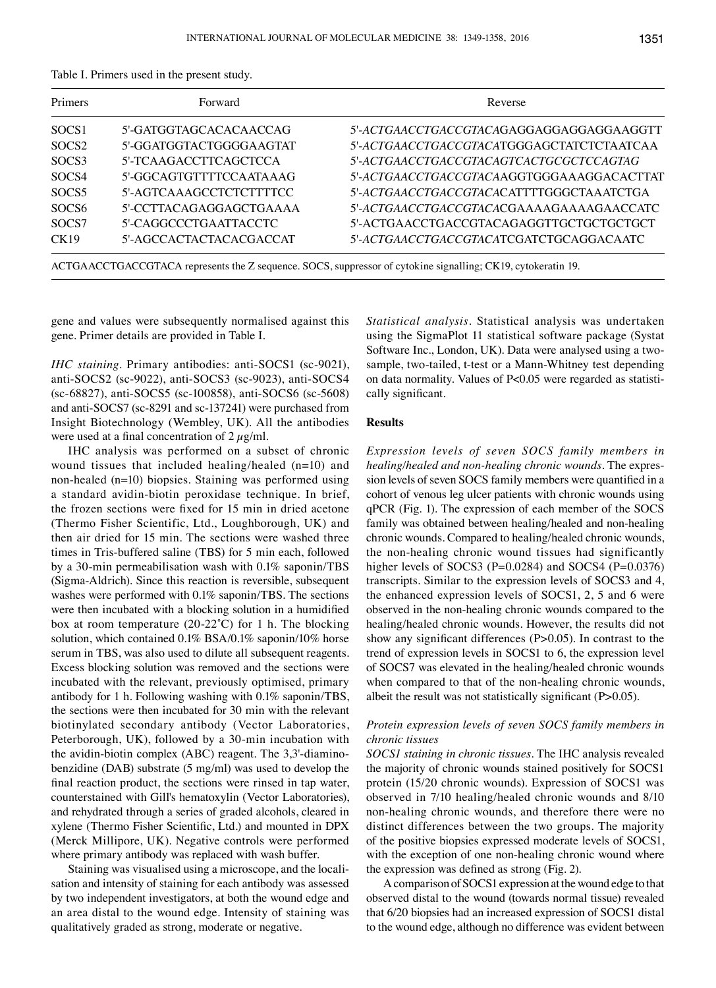| Table I. Primers used in the present study. |  |  |  |
|---------------------------------------------|--|--|--|
|---------------------------------------------|--|--|--|

| Primers           | Forward                 | Reverse                                   |  |
|-------------------|-------------------------|-------------------------------------------|--|
| SOCS <sub>1</sub> | 5'-GATGGTAGCACACAACCAG  | 5'-ACTGAACCTGACCGTACAGAGGAGGAGGAGGAAGGTT  |  |
| SOCS <sub>2</sub> | 5'-GGATGGTACTGGGGAAGTAT | 5'-ACTGAACCTGACCGTACATGGGAGCTATCTCTAATCAA |  |
| SOCS <sub>3</sub> | 5'-TCAAGACCTTCAGCTCCA   | 5'-ACTGAACCTGACCGTACAGTCACTGCGCTCCAGTAG   |  |
| SOCS4             | 5'-GGCAGTGTTTTCCAATAAAG | 5'-ACTGAACCTGACCGTACAAGGTGGGAAAGGACACTTAT |  |
| SOCS <sub>5</sub> | 5'-AGTCAAAGCCTCTCTTTTCC | 5'-ACTGAACCTGACCGTACACATTTTGGGCTAAATCTGA  |  |
| SOCS6             | 5'-CCTTACAGAGGAGCTGAAAA | 5'-ACTGAACCTGACCGTACACGAAAAGAAAAGAACCATC  |  |
| SOCS <sub>7</sub> | 5'-CAGGCCCTGAATTACCTC   | 5'-ACTGAACCTGACCGTACAGAGGTTGCTGCTGCTGCT   |  |
| CK19              | 5'-AGCCACTACTACACGACCAT | 5'-ACTGAACCTGACCGTACATCGATCTGCAGGACAATC   |  |

ACTGAACCTGACCGTACA represents the Z sequence. SOCS, suppressor of cytokine signalling; CK19, cytokeratin 19.

gene and values were subsequently normalised against this gene. Primer details are provided in Table I.

*IHC staining.* Primary antibodies: anti-SOCS1 (sc-9021), anti-SOCS2 (sc-9022), anti-SOCS3 (sc-9023), anti-SOCS4 (sc-68827), anti-SOCS5 (sc-100858), anti-SOCS6 (sc-5608) and anti-SOCS7 (sc-8291 and sc-137241) were purchased from Insight Biotechnology (Wembley, UK). All the antibodies were used at a final concentration of  $2 \mu g/ml$ .

IHC analysis was performed on a subset of chronic wound tissues that included healing/healed (n=10) and non-healed (n=10) biopsies. Staining was performed using a standard avidin-biotin peroxidase technique. In brief, the frozen sections were fixed for 15 min in dried acetone (Thermo Fisher Scientific, Ltd., Loughborough, UK) and then air dried for 15 min. The sections were washed three times in Tris-buffered saline (TBS) for 5 min each, followed by a 30-min permeabilisation wash with 0.1% saponin/TBS (Sigma-Aldrich). Since this reaction is reversible, subsequent washes were performed with 0.1% saponin/TBS. The sections were then incubated with a blocking solution in a humidified box at room temperature (20-22˚C) for 1 h. The blocking solution, which contained 0.1% BSA/0.1% saponin/10% horse serum in TBS, was also used to dilute all subsequent reagents. Excess blocking solution was removed and the sections were incubated with the relevant, previously optimised, primary antibody for 1 h. Following washing with 0.1% saponin/TBS, the sections were then incubated for 30 min with the relevant biotinylated secondary antibody (Vector Laboratories, Peterborough, UK), followed by a 30-min incubation with the avidin-biotin complex (ABC) reagent. The 3,3'-diaminobenzidine (DAB) substrate (5 mg/ml) was used to develop the final reaction product, the sections were rinsed in tap water, counterstained with Gill's hematoxylin (Vector Laboratories), and rehydrated through a series of graded alcohols, cleared in xylene (Thermo Fisher Scientific, Ltd.) and mounted in DPX (Merck Millipore, UK). Negative controls were performed where primary antibody was replaced with wash buffer.

Staining was visualised using a microscope, and the localisation and intensity of staining for each antibody was assessed by two independent investigators, at both the wound edge and an area distal to the wound edge. Intensity of staining was qualitatively graded as strong, moderate or negative.

*Statistical analysis.* Statistical analysis was undertaken using the SigmaPlot 11 statistical software package (Systat Software Inc., London, UK). Data were analysed using a twosample, two-tailed, t-test or a Mann-Whitney test depending on data normality. Values of P<0.05 were regarded as statistically significant.

### **Results**

*Expression levels of seven SOCS family members in healing/healed and non-healing chronic wounds.* The expression levels of seven SOCS family members were quantified in a cohort of venous leg ulcer patients with chronic wounds using qPCR (Fig. 1). The expression of each member of the SOCS family was obtained between healing/healed and non-healing chronic wounds. Compared to healing/healed chronic wounds, the non-healing chronic wound tissues had significantly higher levels of SOCS3 (P=0.0284) and SOCS4 (P=0.0376) transcripts. Similar to the expression levels of SOCS3 and 4, the enhanced expression levels of SOCS1, 2, 5 and 6 were observed in the non-healing chronic wounds compared to the healing/healed chronic wounds. However, the results did not show any significant differences (P>0.05). In contrast to the trend of expression levels in SOCS1 to 6, the expression level of SOCS7 was elevated in the healing/healed chronic wounds when compared to that of the non-healing chronic wounds, albeit the result was not statistically significant (P>0.05).

# *Protein expression levels of seven SOCS family members in chronic tissues*

*SOCS1 staining in chronic tissues.* The IHC analysis revealed the majority of chronic wounds stained positively for SOCS1 protein (15/20 chronic wounds). Expression of SOCS1 was observed in 7/10 healing/healed chronic wounds and 8/10 non-healing chronic wounds, and therefore there were no distinct differences between the two groups. The majority of the positive biopsies expressed moderate levels of SOCS1, with the exception of one non-healing chronic wound where the expression was defined as strong (Fig. 2).

A comparison of SOCS1 expression at the wound edge to that observed distal to the wound (towards normal tissue) revealed that 6/20 biopsies had an increased expression of SOCS1 distal to the wound edge, although no difference was evident between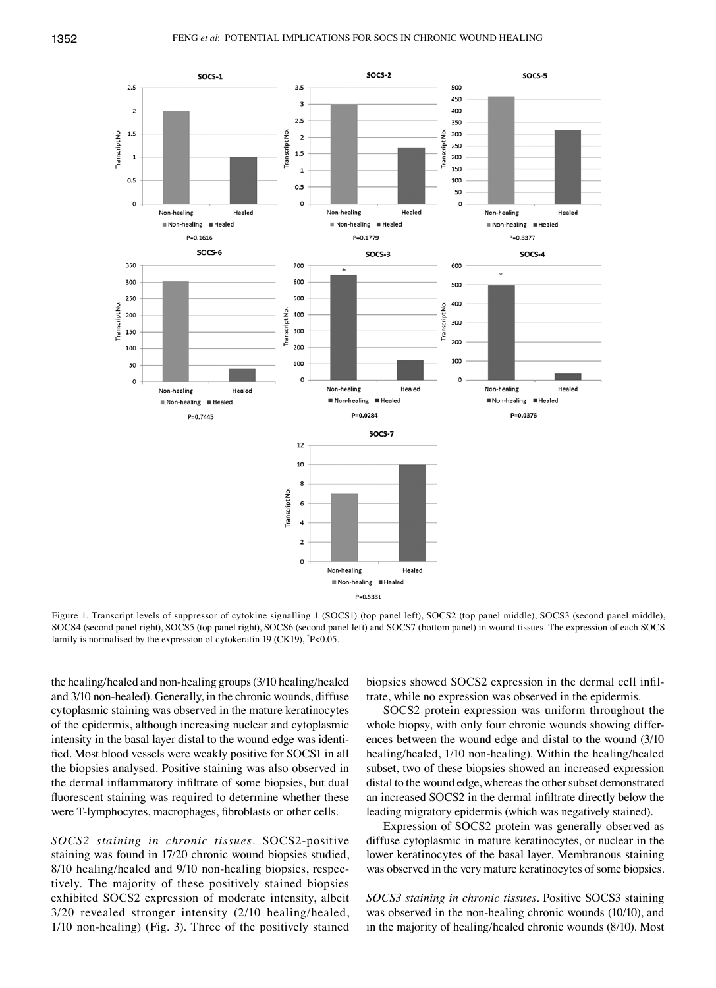

Figure 1. Transcript levels of suppressor of cytokine signalling 1 (SOCS1) (top panel left), SOCS2 (top panel middle), SOCS3 (second panel middle), SOCS4 (second panel right), SOCS5 (top panel right), SOCS6 (second panel left) and SOCS7 (bottom panel) in wound tissues. The expression of each SOCS family is normalised by the expression of cytokeratin 19 (CK19), \* P<0.05.

the healing/healed and non-healing groups (3/10 healing/healed and 3/10 non-healed). Generally, in the chronic wounds, diffuse cytoplasmic staining was observed in the mature keratinocytes of the epidermis, although increasing nuclear and cytoplasmic intensity in the basal layer distal to the wound edge was identified. Most blood vessels were weakly positive for SOCS1 in all the biopsies analysed. Positive staining was also observed in the dermal inflammatory infiltrate of some biopsies, but dual fluorescent staining was required to determine whether these were T-lymphocytes, macrophages, fibroblasts or other cells.

*SOCS2 staining in chronic tissues.* SOCS2-positive staining was found in 17/20 chronic wound biopsies studied, 8/10 healing/healed and 9/10 non-healing biopsies, respectively. The majority of these positively stained biopsies exhibited SOCS2 expression of moderate intensity, albeit 3/20 revealed stronger intensity (2/10 healing/healed, 1/10 non-healing) (Fig. 3). Three of the positively stained biopsies showed SOCS2 expression in the dermal cell infiltrate, while no expression was observed in the epidermis.

SOCS2 protein expression was uniform throughout the whole biopsy, with only four chronic wounds showing differences between the wound edge and distal to the wound (3/10 healing/healed, 1/10 non-healing). Within the healing/healed subset, two of these biopsies showed an increased expression distal to the wound edge, whereas the other subset demonstrated an increased SOCS2 in the dermal infiltrate directly below the leading migratory epidermis (which was negatively stained).

Expression of SOCS2 protein was generally observed as diffuse cytoplasmic in mature keratinocytes, or nuclear in the lower keratinocytes of the basal layer. Membranous staining was observed in the very mature keratinocytes of some biopsies.

*SOCS3 staining in chronic tissues.* Positive SOCS3 staining was observed in the non-healing chronic wounds (10/10), and in the majority of healing/healed chronic wounds (8/10). Most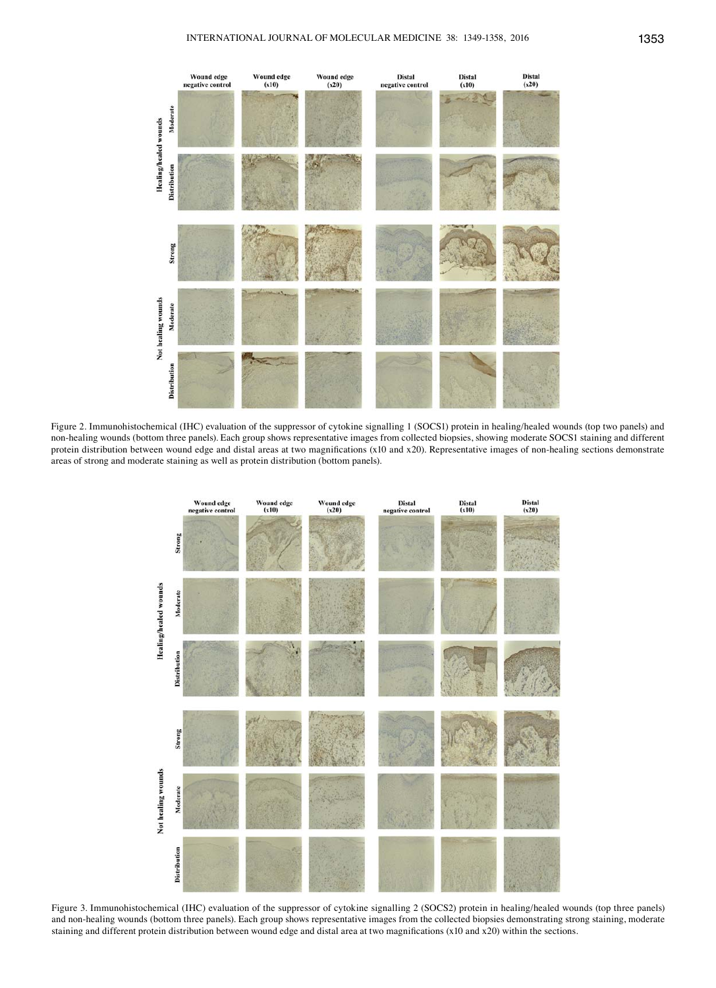

Figure 2. Immunohistochemical (IHC) evaluation of the suppressor of cytokine signalling 1 (SOCS1) protein in healing/healed wounds (top two panels) and non-healing wounds (bottom three panels). Each group shows representative images from collected biopsies, showing moderate SOCS1 staining and different protein distribution between wound edge and distal areas at two magnifications (x10 and x20). Representative images of non-healing sections demonstrate areas of strong and moderate staining as well as protein distribution (bottom panels).



Figure 3. Immunohistochemical (IHC) evaluation of the suppressor of cytokine signalling 2 (SOCS2) protein in healing/healed wounds (top three panels) and non-healing wounds (bottom three panels). Each group shows representative images from the collected biopsies demonstrating strong staining, moderate staining and different protein distribution between wound edge and distal area at two magnifications (x10 and x20) within the sections.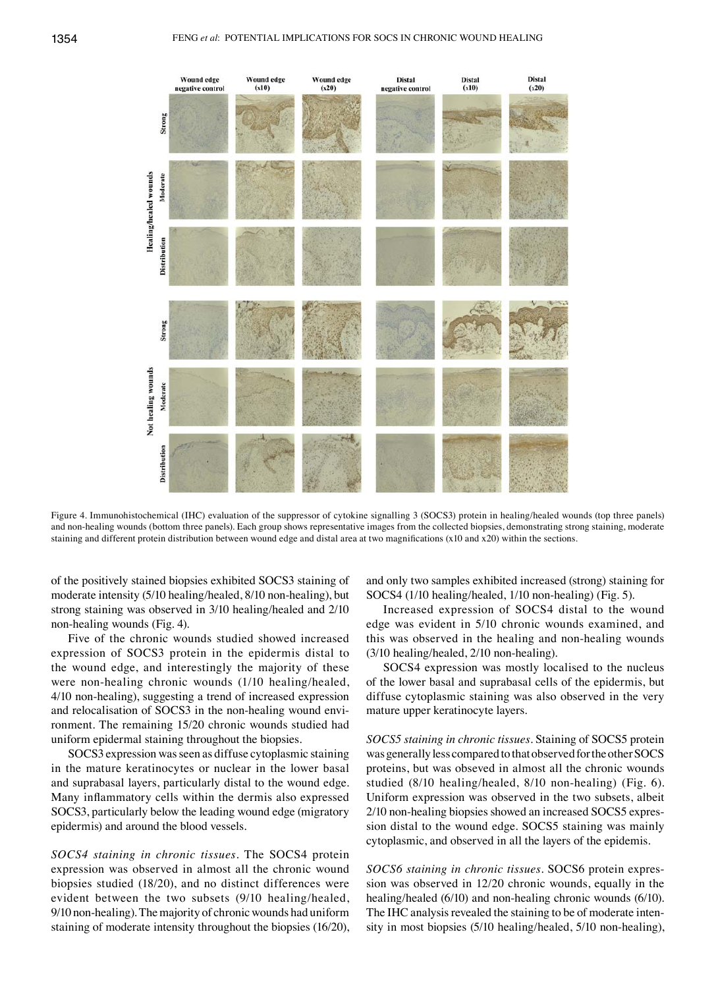

Figure 4. Immunohistochemical (IHC) evaluation of the suppressor of cytokine signalling 3 (SOCS3) protein in healing/healed wounds (top three panels) and non-healing wounds (bottom three panels). Each group shows representative images from the collected biopsies, demonstrating strong staining, moderate staining and different protein distribution between wound edge and distal area at two magnifications (x10 and x20) within the sections.

of the positively stained biopsies exhibited SOCS3 staining of moderate intensity (5/10 healing/healed, 8/10 non-healing), but strong staining was observed in 3/10 healing/healed and 2/10 non-healing wounds (Fig. 4).

Five of the chronic wounds studied showed increased expression of SOCS3 protein in the epidermis distal to the wound edge, and interestingly the majority of these were non-healing chronic wounds (1/10 healing/healed, 4/10 non-healing), suggesting a trend of increased expression and relocalisation of SOCS3 in the non-healing wound environment. The remaining 15/20 chronic wounds studied had uniform epidermal staining throughout the biopsies.

SOCS3 expression was seen as diffuse cytoplasmic staining in the mature keratinocytes or nuclear in the lower basal and suprabasal layers, particularly distal to the wound edge. Many inflammatory cells within the dermis also expressed SOCS3, particularly below the leading wound edge (migratory epidermis) and around the blood vessels.

*SOCS4 staining in chronic tissues.* The SOCS4 protein expression was observed in almost all the chronic wound biopsies studied (18/20), and no distinct differences were evident between the two subsets (9/10 healing/healed, 9/10 non-healing). The majority of chronic wounds had uniform staining of moderate intensity throughout the biopsies (16/20), and only two samples exhibited increased (strong) staining for SOCS4 (1/10 healing/healed, 1/10 non-healing) (Fig. 5).

Increased expression of SOCS4 distal to the wound edge was evident in 5/10 chronic wounds examined, and this was observed in the healing and non-healing wounds (3/10 healing/healed, 2/10 non-healing).

SOCS4 expression was mostly localised to the nucleus of the lower basal and suprabasal cells of the epidermis, but diffuse cytoplasmic staining was also observed in the very mature upper keratinocyte layers.

*SOCS5 staining in chronic tissues.* Staining of SOCS5 protein was generally less compared to that observed for the other SOCS proteins, but was obseved in almost all the chronic wounds studied (8/10 healing/healed, 8/10 non-healing) (Fig. 6). Uniform expression was observed in the two subsets, albeit 2/10 non-healing biopsies showed an increased SOCS5 expression distal to the wound edge. SOCS5 staining was mainly cytoplasmic, and observed in all the layers of the epidemis.

*SOCS6 staining in chronic tissues.* SOCS6 protein expression was observed in 12/20 chronic wounds, equally in the healing/healed (6/10) and non-healing chronic wounds (6/10). The IHC analysis revealed the staining to be of moderate intensity in most biopsies (5/10 healing/healed, 5/10 non-healing),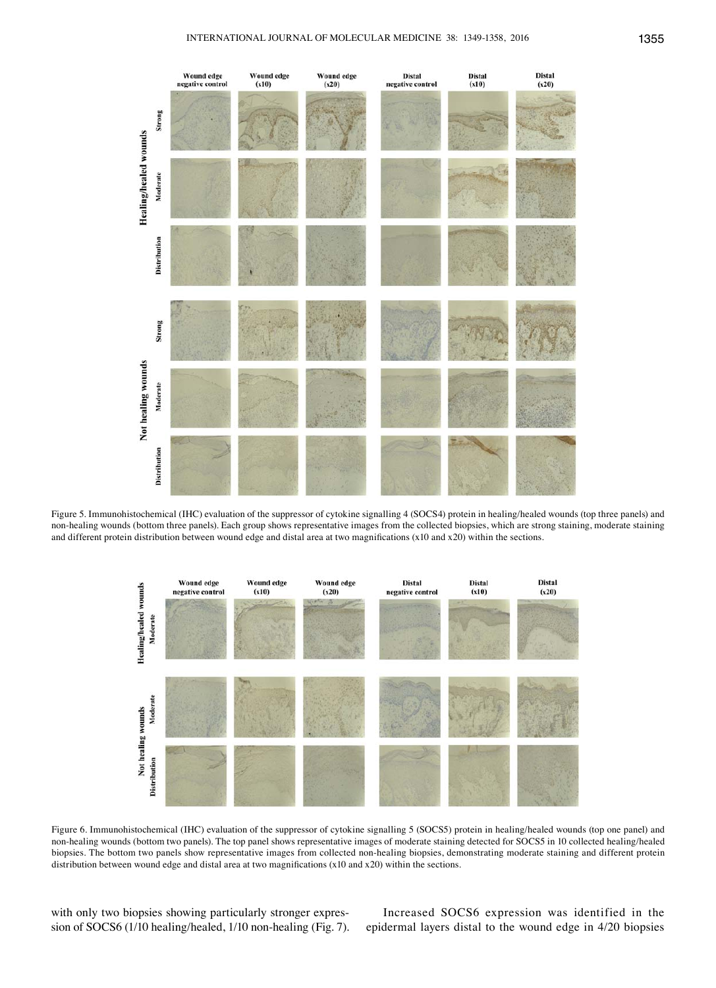

Figure 5. Immunohistochemical (IHC) evaluation of the suppressor of cytokine signalling 4 (SOCS4) protein in healing/healed wounds (top three panels) and non-healing wounds (bottom three panels). Each group shows representative images from the collected biopsies, which are strong staining, moderate staining and different protein distribution between wound edge and distal area at two magnifications (x10 and x20) within the sections.



Figure 6. Immunohistochemical (IHC) evaluation of the suppressor of cytokine signalling 5 (SOCS5) protein in healing/healed wounds (top one panel) and non-healing wounds (bottom two panels). The top panel shows representative images of moderate staining detected for SOCS5 in 10 collected healing/healed biopsies. The bottom two panels show representative images from collected non-healing biopsies, demonstrating moderate staining and different protein distribution between wound edge and distal area at two magnifications (x10 and x20) within the sections.

with only two biopsies showing particularly stronger expression of SOCS6 (1/10 healing/healed, 1/10 non-healing (Fig. 7).

Increased SOCS6 expression was identified in the epidermal layers distal to the wound edge in 4/20 biopsies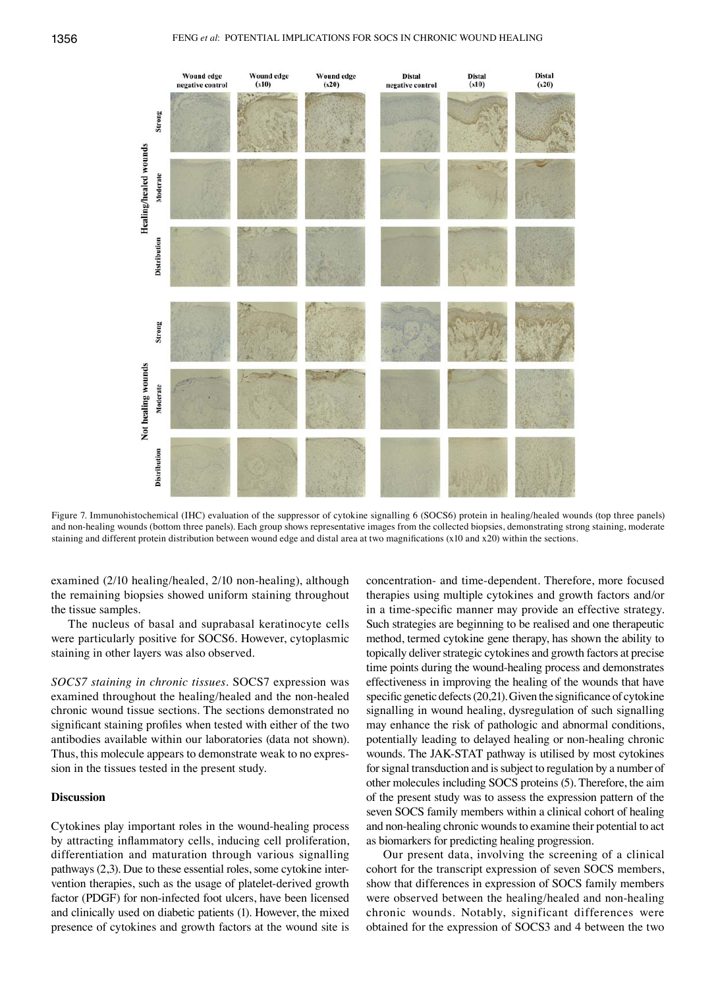

Figure 7. Immunohistochemical (IHC) evaluation of the suppressor of cytokine signalling 6 (SOCS6) protein in healing/healed wounds (top three panels) and non-healing wounds (bottom three panels). Each group shows representative images from the collected biopsies, demonstrating strong staining, moderate staining and different protein distribution between wound edge and distal area at two magnifications (x10 and x20) within the sections.

examined (2/10 healing/healed, 2/10 non-healing), although the remaining biopsies showed uniform staining throughout the tissue samples.

The nucleus of basal and suprabasal keratinocyte cells were particularly positive for SOCS6. However, cytoplasmic staining in other layers was also observed.

*SOCS7 staining in chronic tissues.* SOCS7 expression was examined throughout the healing/healed and the non-healed chronic wound tissue sections. The sections demonstrated no significant staining profiles when tested with either of the two antibodies available within our laboratories (data not shown). Thus, this molecule appears to demonstrate weak to no expression in the tissues tested in the present study.

## **Discussion**

Cytokines play important roles in the wound-healing process by attracting inflammatory cells, inducing cell proliferation, differentiation and maturation through various signalling pathways (2,3). Due to these essential roles, some cytokine intervention therapies, such as the usage of platelet-derived growth factor (PDGF) for non-infected foot ulcers, have been licensed and clinically used on diabetic patients (1). However, the mixed presence of cytokines and growth factors at the wound site is concentration- and time-dependent. Therefore, more focused therapies using multiple cytokines and growth factors and/or in a time‑specific manner may provide an effective strategy. Such strategies are beginning to be realised and one therapeutic method, termed cytokine gene therapy, has shown the ability to topically deliver strategic cytokines and growth factors at precise time points during the wound-healing process and demonstrates effectiveness in improving the healing of the wounds that have specific genetic defects (20,21). Given the significance of cytokine signalling in wound healing, dysregulation of such signalling may enhance the risk of pathologic and abnormal conditions, potentially leading to delayed healing or non-healing chronic wounds. The JAK-STAT pathway is utilised by most cytokines for signal transduction and is subject to regulation by a number of other molecules including SOCS proteins (5). Therefore, the aim of the present study was to assess the expression pattern of the seven SOCS family members within a clinical cohort of healing and non-healing chronic wounds to examine their potential to act as biomarkers for predicting healing progression.

Our present data, involving the screening of a clinical cohort for the transcript expression of seven SOCS members, show that differences in expression of SOCS family members were observed between the healing/healed and non-healing chronic wounds. Notably, significant differences were obtained for the expression of SOCS3 and 4 between the two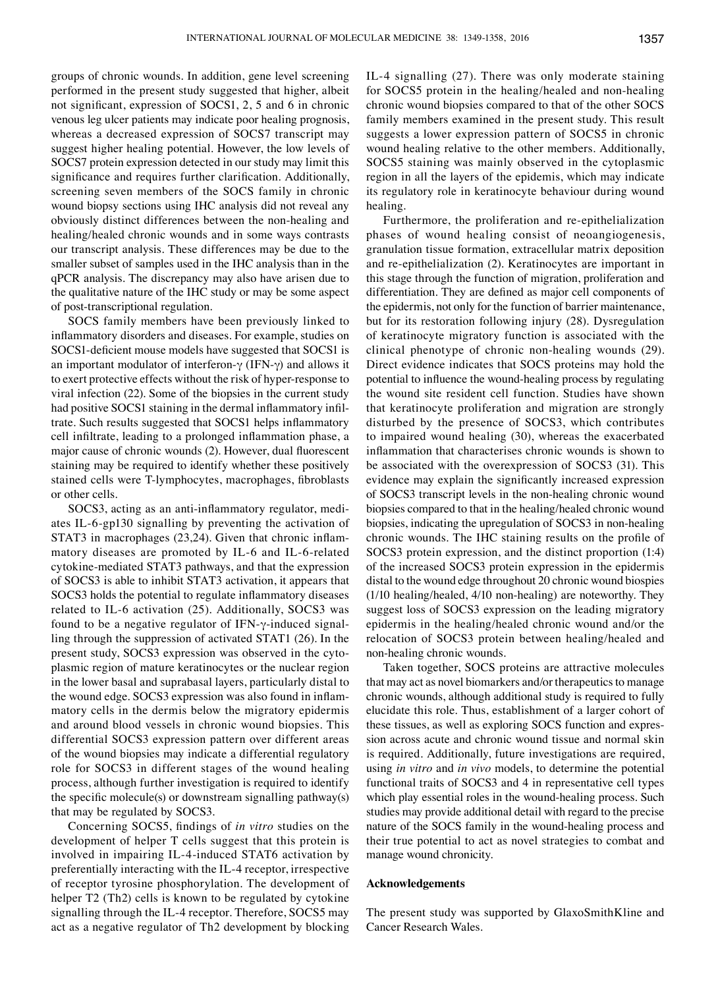groups of chronic wounds. In addition, gene level screening performed in the present study suggested that higher, albeit not significant, expression of SOCS1, 2, 5 and 6 in chronic venous leg ulcer patients may indicate poor healing prognosis, whereas a decreased expression of SOCS7 transcript may suggest higher healing potential. However, the low levels of SOCS7 protein expression detected in our study may limit this significance and requires further clarification. Additionally, screening seven members of the SOCS family in chronic wound biopsy sections using IHC analysis did not reveal any obviously distinct differences between the non-healing and healing/healed chronic wounds and in some ways contrasts our transcript analysis. These differences may be due to the smaller subset of samples used in the IHC analysis than in the qPCR analysis. The discrepancy may also have arisen due to the qualitative nature of the IHC study or may be some aspect of post-transcriptional regulation.

SOCS family members have been previously linked to inflammatory disorders and diseases. For example, studies on SOCS1‑deficient mouse models have suggested that SOCS1 is an important modulator of interferon-γ (IFN-γ) and allows it to exert protective effects without the risk of hyper-response to viral infection (22). Some of the biopsies in the current study had positive SOCS1 staining in the dermal inflammatory infiltrate. Such results suggested that SOCS1 helps inflammatory cell infiltrate, leading to a prolonged inflammation phase, a major cause of chronic wounds (2). However, dual fluorescent staining may be required to identify whether these positively stained cells were T-lymphocytes, macrophages, fibroblasts or other cells.

SOCS3, acting as an anti-inflammatory regulator, mediates IL-6-gp130 signalling by preventing the activation of STAT3 in macrophages (23,24). Given that chronic inflammatory diseases are promoted by IL-6 and IL-6-related cytokine-mediated STAT3 pathways, and that the expression of SOCS3 is able to inhibit STAT3 activation, it appears that SOCS3 holds the potential to regulate inflammatory diseases related to IL-6 activation (25). Additionally, SOCS3 was found to be a negative regulator of IFN-γ-induced signalling through the suppression of activated STAT1 (26). In the present study, SOCS3 expression was observed in the cytoplasmic region of mature keratinocytes or the nuclear region in the lower basal and suprabasal layers, particularly distal to the wound edge. SOCS3 expression was also found in inflammatory cells in the dermis below the migratory epidermis and around blood vessels in chronic wound biopsies. This differential SOCS3 expression pattern over different areas of the wound biopsies may indicate a differential regulatory role for SOCS3 in different stages of the wound healing process, although further investigation is required to identify the specific molecule(s) or downstream signalling pathway(s) that may be regulated by SOCS3.

Concerning SOCS5, findings of *in vitro* studies on the development of helper T cells suggest that this protein is involved in impairing IL-4-induced STAT6 activation by preferentially interacting with the IL-4 receptor, irrespective of receptor tyrosine phosphorylation. The development of helper T2 (Th2) cells is known to be regulated by cytokine signalling through the IL-4 receptor. Therefore, SOCS5 may act as a negative regulator of Th2 development by blocking IL-4 signalling (27). There was only moderate staining for SOCS5 protein in the healing/healed and non-healing chronic wound biopsies compared to that of the other SOCS family members examined in the present study. This result suggests a lower expression pattern of SOCS5 in chronic wound healing relative to the other members. Additionally, SOCS5 staining was mainly observed in the cytoplasmic region in all the layers of the epidemis, which may indicate its regulatory role in keratinocyte behaviour during wound healing.

Furthermore, the proliferation and re-epithelialization phases of wound healing consist of neoangiogenesis, granulation tissue formation, extracellular matrix deposition and re-epithelialization (2). Keratinocytes are important in this stage through the function of migration, proliferation and differentiation. They are defined as major cell components of the epidermis, not only for the function of barrier maintenance, but for its restoration following injury (28). Dysregulation of keratinocyte migratory function is associated with the clinical phenotype of chronic non-healing wounds (29). Direct evidence indicates that SOCS proteins may hold the potential to influence the wound‑healing process by regulating the wound site resident cell function. Studies have shown that keratinocyte proliferation and migration are strongly disturbed by the presence of SOCS3, which contributes to impaired wound healing (30), whereas the exacerbated inflammation that characterises chronic wounds is shown to be associated with the overexpression of SOCS3 (31). This evidence may explain the significantly increased expression of SOCS3 transcript levels in the non-healing chronic wound biopsies compared to that in the healing/healed chronic wound biopsies, indicating the upregulation of SOCS3 in non-healing chronic wounds. The IHC staining results on the profile of SOCS3 protein expression, and the distinct proportion (1:4) of the increased SOCS3 protein expression in the epidermis distal to the wound edge throughout 20 chronic wound biospies (1/10 healing/healed, 4/10 non-healing) are noteworthy. They suggest loss of SOCS3 expression on the leading migratory epidermis in the healing/healed chronic wound and/or the relocation of SOCS3 protein between healing/healed and non-healing chronic wounds.

Taken together, SOCS proteins are attractive molecules that may act as novel biomarkers and/or therapeutics to manage chronic wounds, although additional study is required to fully elucidate this role. Thus, establishment of a larger cohort of these tissues, as well as exploring SOCS function and expression across acute and chronic wound tissue and normal skin is required. Additionally, future investigations are required, using *in vitro* and *in vivo* models, to determine the potential functional traits of SOCS3 and 4 in representative cell types which play essential roles in the wound-healing process. Such studies may provide additional detail with regard to the precise nature of the SOCS family in the wound-healing process and their true potential to act as novel strategies to combat and manage wound chronicity.

### **Acknowledgements**

The present study was supported by GlaxoSmithKline and Cancer Research Wales.